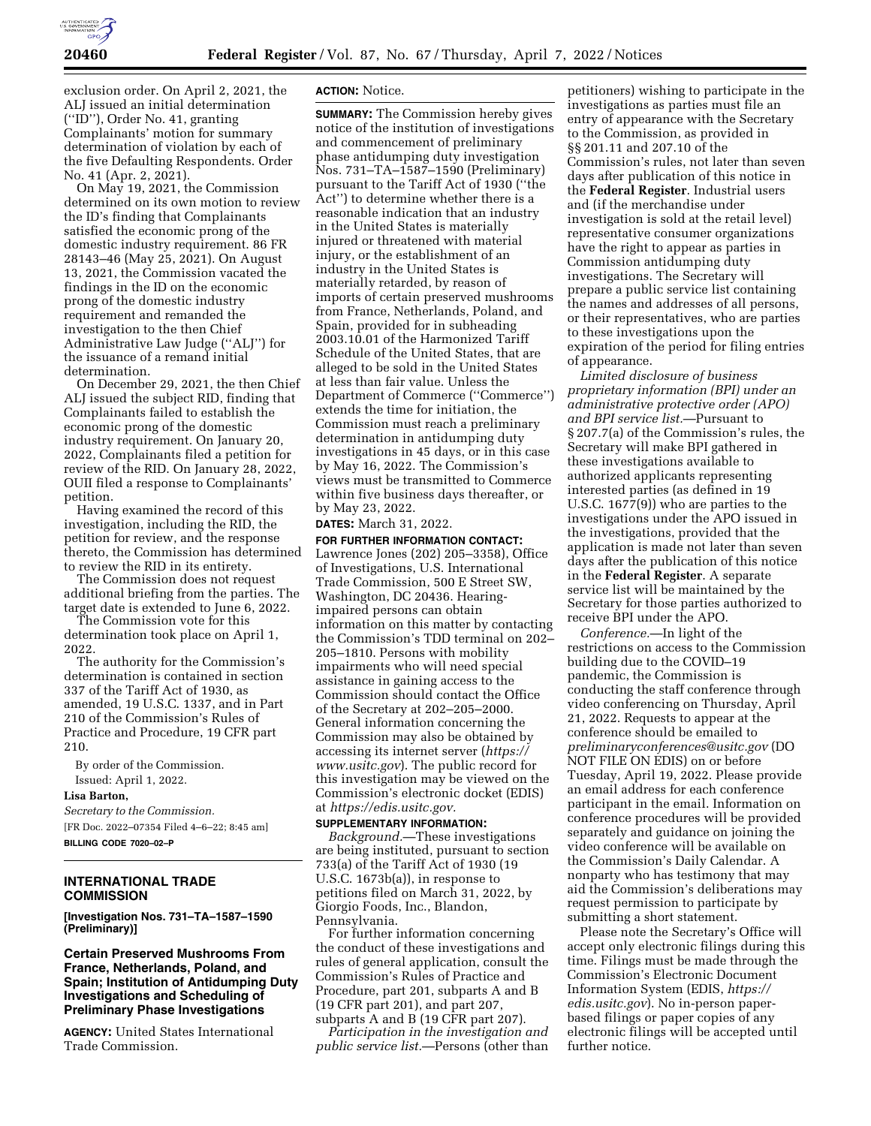

exclusion order. On April 2, 2021, the ALJ issued an initial determination (''ID''), Order No. 41, granting Complainants' motion for summary determination of violation by each of the five Defaulting Respondents. Order No. 41 (Apr. 2, 2021).

On May 19, 2021, the Commission determined on its own motion to review the ID's finding that Complainants satisfied the economic prong of the domestic industry requirement. 86 FR 28143–46 (May 25, 2021). On August 13, 2021, the Commission vacated the findings in the ID on the economic prong of the domestic industry requirement and remanded the investigation to the then Chief Administrative Law Judge (''ALJ'') for the issuance of a remand initial determination.

On December 29, 2021, the then Chief ALJ issued the subject RID, finding that Complainants failed to establish the economic prong of the domestic industry requirement. On January 20, 2022, Complainants filed a petition for review of the RID. On January 28, 2022, OUII filed a response to Complainants' petition.

Having examined the record of this investigation, including the RID, the petition for review, and the response thereto, the Commission has determined to review the RID in its entirety.

The Commission does not request additional briefing from the parties. The target date is extended to June 6, 2022.

The Commission vote for this determination took place on April 1, 2022.

The authority for the Commission's determination is contained in section 337 of the Tariff Act of 1930, as amended, 19 U.S.C. 1337, and in Part 210 of the Commission's Rules of Practice and Procedure, 19 CFR part 210.

By order of the Commission. Issued: April 1, 2022.

#### **Lisa Barton,**

*Secretary to the Commission.*  [FR Doc. 2022–07354 Filed 4–6–22; 8:45 am] **BILLING CODE 7020–02–P** 

# **INTERNATIONAL TRADE COMMISSION**

**[Investigation Nos. 731–TA–1587–1590 (Preliminary)]** 

## **Certain Preserved Mushrooms From France, Netherlands, Poland, and Spain; Institution of Antidumping Duty Investigations and Scheduling of Preliminary Phase Investigations**

**AGENCY:** United States International Trade Commission.

#### **ACTION:** Notice.

**SUMMARY:** The Commission hereby gives notice of the institution of investigations and commencement of preliminary phase antidumping duty investigation Nos. 731–TA–1587–1590 (Preliminary) pursuant to the Tariff Act of 1930 (''the Act'') to determine whether there is a reasonable indication that an industry in the United States is materially injured or threatened with material injury, or the establishment of an industry in the United States is materially retarded, by reason of imports of certain preserved mushrooms from France, Netherlands, Poland, and Spain, provided for in subheading 2003.10.01 of the Harmonized Tariff Schedule of the United States, that are alleged to be sold in the United States at less than fair value. Unless the Department of Commerce (''Commerce'') extends the time for initiation, the Commission must reach a preliminary determination in antidumping duty investigations in 45 days, or in this case by May 16, 2022. The Commission's views must be transmitted to Commerce within five business days thereafter, or by May 23, 2022.

## **DATES:** March 31, 2022.

**FOR FURTHER INFORMATION CONTACT:**  Lawrence Jones (202) 205–3358), Office of Investigations, U.S. International Trade Commission, 500 E Street SW, Washington, DC 20436. Hearingimpaired persons can obtain information on this matter by contacting the Commission's TDD terminal on 202– 205–1810. Persons with mobility impairments who will need special assistance in gaining access to the Commission should contact the Office of the Secretary at 202–205–2000. General information concerning the Commission may also be obtained by accessing its internet server (*https:// www.usitc.gov*). The public record for this investigation may be viewed on the Commission's electronic docket (EDIS) at *https://edis.usitc.gov.* 

# **SUPPLEMENTARY INFORMATION:**

*Background.*—These investigations are being instituted, pursuant to section 733(a) of the Tariff Act of 1930 (19 U.S.C. 1673b(a)), in response to petitions filed on March 31, 2022, by Giorgio Foods, Inc., Blandon, Pennsylvania.

For further information concerning the conduct of these investigations and rules of general application, consult the Commission's Rules of Practice and Procedure, part 201, subparts A and B (19 CFR part 201), and part 207, subparts A and B (19 CFR part 207).

*Participation in the investigation and public service list.*—Persons (other than

petitioners) wishing to participate in the investigations as parties must file an entry of appearance with the Secretary to the Commission, as provided in §§ 201.11 and 207.10 of the Commission's rules, not later than seven days after publication of this notice in the **Federal Register**. Industrial users and (if the merchandise under investigation is sold at the retail level) representative consumer organizations have the right to appear as parties in Commission antidumping duty investigations. The Secretary will prepare a public service list containing the names and addresses of all persons, or their representatives, who are parties to these investigations upon the expiration of the period for filing entries of appearance.

*Limited disclosure of business proprietary information (BPI) under an administrative protective order (APO) and BPI service list.*—Pursuant to § 207.7(a) of the Commission's rules, the Secretary will make BPI gathered in these investigations available to authorized applicants representing interested parties (as defined in 19 U.S.C. 1677(9)) who are parties to the investigations under the APO issued in the investigations, provided that the application is made not later than seven days after the publication of this notice in the **Federal Register**. A separate service list will be maintained by the Secretary for those parties authorized to receive BPI under the APO.

*Conference.*—In light of the restrictions on access to the Commission building due to the COVID–19 pandemic, the Commission is conducting the staff conference through video conferencing on Thursday, April 21, 2022. Requests to appear at the conference should be emailed to *preliminaryconferences@usitc.gov* (DO NOT FILE ON EDIS) on or before Tuesday, April 19, 2022. Please provide an email address for each conference participant in the email. Information on conference procedures will be provided separately and guidance on joining the video conference will be available on the Commission's Daily Calendar. A nonparty who has testimony that may aid the Commission's deliberations may request permission to participate by submitting a short statement.

Please note the Secretary's Office will accept only electronic filings during this time. Filings must be made through the Commission's Electronic Document Information System (EDIS, *https:// edis.usitc.gov*). No in-person paperbased filings or paper copies of any electronic filings will be accepted until further notice.